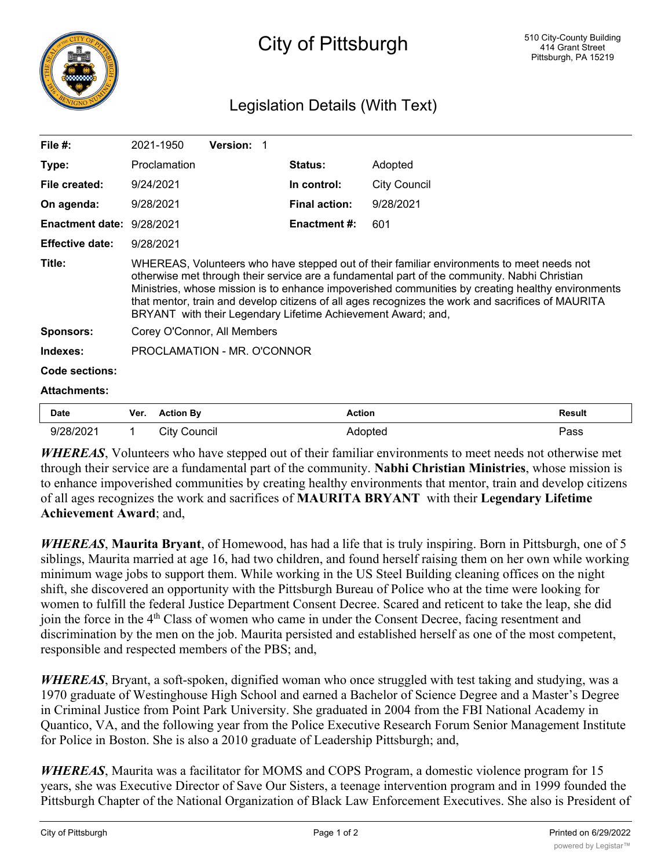

## Legislation Details (With Text)

| File $#$ :                | 2021-1950                                                                                                                                                                                                                                                                                                                                                                                                                                                           | <b>Version: 1</b> |                      |              |               |
|---------------------------|---------------------------------------------------------------------------------------------------------------------------------------------------------------------------------------------------------------------------------------------------------------------------------------------------------------------------------------------------------------------------------------------------------------------------------------------------------------------|-------------------|----------------------|--------------|---------------|
| Type:                     | Proclamation                                                                                                                                                                                                                                                                                                                                                                                                                                                        |                   | <b>Status:</b>       | Adopted      |               |
| File created:             | 9/24/2021                                                                                                                                                                                                                                                                                                                                                                                                                                                           |                   | In control:          | City Council |               |
| On agenda:                | 9/28/2021                                                                                                                                                                                                                                                                                                                                                                                                                                                           |                   | <b>Final action:</b> | 9/28/2021    |               |
| Enactment date: 9/28/2021 |                                                                                                                                                                                                                                                                                                                                                                                                                                                                     |                   | Enactment #:         | 601          |               |
| <b>Effective date:</b>    | 9/28/2021                                                                                                                                                                                                                                                                                                                                                                                                                                                           |                   |                      |              |               |
| Title:                    | WHEREAS, Volunteers who have stepped out of their familiar environments to meet needs not<br>otherwise met through their service are a fundamental part of the community. Nabhi Christian<br>Ministries, whose mission is to enhance impoverished communities by creating healthy environments<br>that mentor, train and develop citizens of all ages recognizes the work and sacrifices of MAURITA<br>BRYANT with their Legendary Lifetime Achievement Award; and, |                   |                      |              |               |
| Sponsors:                 | Corey O'Connor, All Members                                                                                                                                                                                                                                                                                                                                                                                                                                         |                   |                      |              |               |
| Indexes:                  | PROCLAMATION - MR. O'CONNOR                                                                                                                                                                                                                                                                                                                                                                                                                                         |                   |                      |              |               |
| Code sections:            |                                                                                                                                                                                                                                                                                                                                                                                                                                                                     |                   |                      |              |               |
| <b>Attachments:</b>       |                                                                                                                                                                                                                                                                                                                                                                                                                                                                     |                   |                      |              |               |
| Date                      | <b>Action By</b><br>Ver.                                                                                                                                                                                                                                                                                                                                                                                                                                            |                   | <b>Action</b>        |              | <b>Result</b> |

*WHEREAS*, Volunteers who have stepped out of their familiar environments to meet needs not otherwise met through their service are a fundamental part of the community. **Nabhi Christian Ministries**, whose mission is to enhance impoverished communities by creating healthy environments that mentor, train and develop citizens of all ages recognizes the work and sacrifices of **MAURITA BRYANT** with their **Legendary Lifetime Achievement Award**; and,

9/28/2021 1 City Council Adopted Pass

*WHEREAS*, **Maurita Bryant**, of Homewood, has had a life that is truly inspiring. Born in Pittsburgh, one of 5 siblings, Maurita married at age 16, had two children, and found herself raising them on her own while working minimum wage jobs to support them. While working in the US Steel Building cleaning offices on the night shift, she discovered an opportunity with the Pittsburgh Bureau of Police who at the time were looking for women to fulfill the federal Justice Department Consent Decree. Scared and reticent to take the leap, she did join the force in the 4<sup>th</sup> Class of women who came in under the Consent Decree, facing resentment and discrimination by the men on the job. Maurita persisted and established herself as one of the most competent, responsible and respected members of the PBS; and,

*WHEREAS*, Bryant, a soft-spoken, dignified woman who once struggled with test taking and studying, was a 1970 graduate of Westinghouse High School and earned a Bachelor of Science Degree and a Master's Degree in Criminal Justice from Point Park University. She graduated in 2004 from the FBI National Academy in Quantico, VA, and the following year from the Police Executive Research Forum Senior Management Institute for Police in Boston. She is also a 2010 graduate of Leadership Pittsburgh; and,

*WHEREAS*, Maurita was a facilitator for MOMS and COPS Program, a domestic violence program for 15 years, she was Executive Director of Save Our Sisters, a teenage intervention program and in 1999 founded the Pittsburgh Chapter of the National Organization of Black Law Enforcement Executives. She also is President of